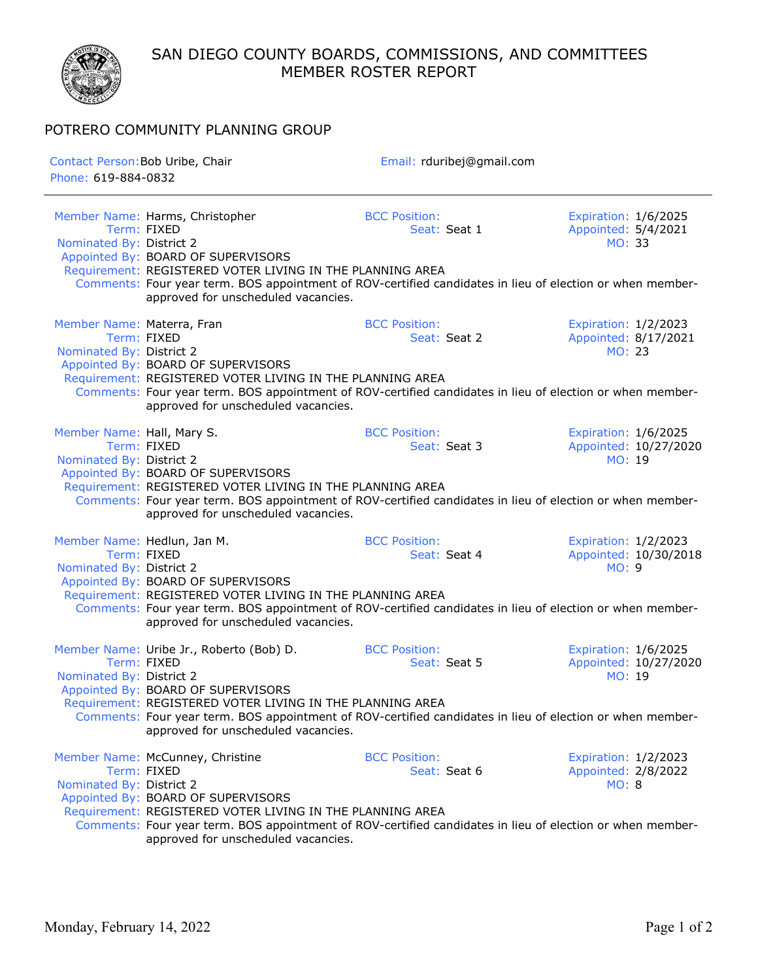SAN DIEGO COUNTY BOARDS, COMMISSIONS, AND COMMITTEES MEMBER ROSTER REPORT



POTRERO COMMUNITY PLANNING GROUP

| Contact Person: Bob Uribe, Chair<br>Phone: 619-884-0832 |                                                                                                                                                                                                                                                                                                                | Email: rduribej@gmail.com            |                                                               |
|---------------------------------------------------------|----------------------------------------------------------------------------------------------------------------------------------------------------------------------------------------------------------------------------------------------------------------------------------------------------------------|--------------------------------------|---------------------------------------------------------------|
| Nominated By: District 2                                | Member Name: Harms, Christopher<br>Term: FIXED<br>Appointed By: BOARD OF SUPERVISORS<br>Requirement: REGISTERED VOTER LIVING IN THE PLANNING AREA<br>Comments: Four year term. BOS appointment of ROV-certified candidates in lieu of election or when member-<br>approved for unscheduled vacancies.          | <b>BCC Position:</b><br>Seat: Seat 1 | Expiration: 1/6/2025<br>Appointed: 5/4/2021<br>MO: 33         |
| Member Name: Materra, Fran<br>Nominated By: District 2  | Term: FIXED<br>Appointed By: BOARD OF SUPERVISORS<br>Requirement: REGISTERED VOTER LIVING IN THE PLANNING AREA<br>Comments: Four year term. BOS appointment of ROV-certified candidates in lieu of election or when member-<br>approved for unscheduled vacancies.                                             | <b>BCC Position:</b><br>Seat: Seat 2 | Expiration: 1/2/2023<br>Appointed: 8/17/2021<br>MO: 23        |
| Member Name: Hall, Mary S.<br>Nominated By: District 2  | Term: FIXED<br>Appointed By: BOARD OF SUPERVISORS<br>Requirement: REGISTERED VOTER LIVING IN THE PLANNING AREA<br>Comments: Four year term. BOS appointment of ROV-certified candidates in lieu of election or when member-<br>approved for unscheduled vacancies.                                             | <b>BCC Position:</b><br>Seat: Seat 3 | Expiration: 1/6/2025<br>Appointed: 10/27/2020<br>MO: 19       |
| Nominated By: District 2                                | Member Name: Hedlun, Jan M.<br>Term: FIXED<br>Appointed By: BOARD OF SUPERVISORS<br>Requirement: REGISTERED VOTER LIVING IN THE PLANNING AREA<br>Comments: Four year term. BOS appointment of ROV-certified candidates in lieu of election or when member-<br>approved for unscheduled vacancies.              | <b>BCC Position:</b><br>Seat: Seat 4 | Expiration: 1/2/2023<br>Appointed: 10/30/2018<br><b>MO: 9</b> |
| Nominated By: District 2                                | Member Name: Uribe Jr., Roberto (Bob) D.<br>Term: FIXED<br>Appointed By: BOARD OF SUPERVISORS<br>Requirement: REGISTERED VOTER LIVING IN THE PLANNING AREA<br>Comments: Four year term. BOS appointment of ROV-certified candidates in lieu of election or when member-<br>approved for unscheduled vacancies. | <b>BCC Position:</b><br>Seat: Seat 5 | Expiration: 1/6/2025<br>Appointed: 10/27/2020<br>MO: 19       |
| Nominated By: District 2                                | Member Name: McCunney, Christine<br>Term: FIXED<br>Appointed By: BOARD OF SUPERVISORS<br>Requirement: REGISTERED VOTER LIVING IN THE PLANNING AREA<br>Comments: Four year term. BOS appointment of ROV-certified candidates in lieu of election or when member-<br>approved for unscheduled vacancies.         | <b>BCC Position:</b><br>Seat: Seat 6 | Expiration: 1/2/2023<br>Appointed: 2/8/2022<br>MO: 8          |